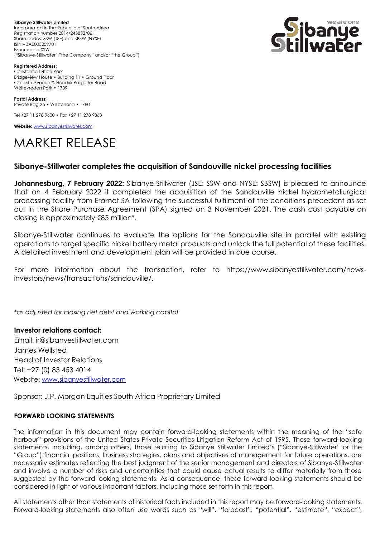**Sibanye Stillwater Limited**  Incorporated in the Republic of South Africa Registration number 2014/243852/06 Share codes: SSW (JSE) and SBSW (NYSE) ISIN – ZAE000259701 Issuer code: SSW ("Sibanye-Stillwater","the Company" and/or "the Group")



**Registered Address:** Constantia Office Park Bridgeview House • Building 11 • Ground Floor Cnr 14th Avenue & Hendrik Potgieter Road Weltevreden Park • 1709

**Postal Address:** Private Bag X5 • Westonaria • 1780

Tel +27 11 278 9600 • Fax +27 11 278 9863

**Website:** [www.sibanyestillwater.com](http://www.sibanyestillwater.com/)

## MARKET RELEASE

## **Sibanye-Stillwater completes the acquisition of Sandouville nickel processing facilities**

**Johannesburg, 7 February 2022:** Sibanye-Stillwater (JSE: SSW and NYSE: SBSW) is pleased to announce that on 4 February 2022 it completed the acquisition of the Sandouville nickel hydrometallurgical processing facility from Eramet SA following the successful fulfilment of the conditions precedent as set out in the Share Purchase Agreement (SPA) signed on 3 November 2021. The cash cost payable on closing is approximately €85 million\*.

Sibanye-Stillwater continues to evaluate the options for the Sandouville site in parallel with existing operations to target specific nickel battery metal products and unlock the full potential of these facilities. A detailed investment and development plan will be provided in due course.

For more information about the transaction, refer to https://www.sibanyestillwater.com/newsinvestors/news/transactions/sandouville/.

*\*as adjusted for closing net debt and working capital*

**Investor relations contact:** Email: ir@sibanyestillwater.com James Wellsted Head of Investor Relations Tel: +27 (0) 83 453 4014 Website: [www.sibanyestillwater.com](http://www.sibanyestillwater.com/)

Sponsor: J.P. Morgan Equities South Africa Proprietary Limited

## **FORWARD LOOKING STATEMENTS**

The information in this document may contain forward-looking statements within the meaning of the "safe harbour" provisions of the United States Private Securities Litigation Reform Act of 1995. These forward-looking statements, including, among others, those relating to Sibanye Stillwater Limited's ("Sibanye-Stillwater" or the "Group") financial positions, business strategies, plans and objectives of management for future operations, are necessarily estimates reflecting the best judgment of the senior management and directors of Sibanye-Stillwater and involve a number of risks and uncertainties that could cause actual results to differ materially from those suggested by the forward-looking statements. As a consequence, these forward-looking statements should be considered in light of various important factors, including those set forth in this report.

All statements other than statements of historical facts included in this report may be forward-looking statements. Forward-looking statements also often use words such as "will", "forecast", "potential", "estimate", "expect",